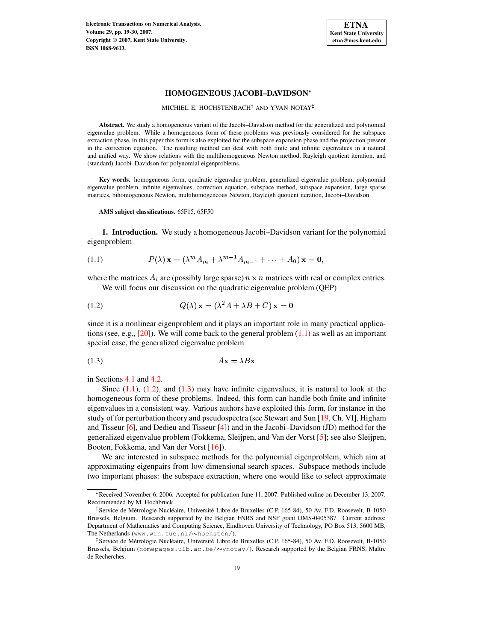**Electronic Transactions on Numerical Analysis. Volume 29, pp. 19-30, 2007. Copyright 2007, Kent State University. ISSN 1068-9613.**



# **HOMOGENEOUS JACOBI–DAVIDSON**

MICHIEL E. HOCHSTENBACH<sup>†</sup> AND YVAN NOTAY

**Abstract.** We study a homogeneous variant of the Jacobi–Davidson method for the generalized and polynomial eigenvalue problem. While a homogeneous form of these problems was previously considered for the subspace extraction phase, in this paper this form is also exploited for the subspace expansion phase and the projection present in the correction equation. The resulting method can deal with both finite and infinite eigenvalues in a natural and unified way. We show relations with the multihomogeneous Newton method, Rayleigh quotient iteration, and (standard) Jacobi–Davidson for polynomial eigenproblems.

**Key words.** homogeneous form, quadratic eigenvalue problem, generalized eigenvalue problem, polynomial eigenvalue problem, infinite eigenvalues, correction equation, subspace method, subspace expansion, large sparse matrices, bihomogeneous Newton, multihomogeneous Newton, Rayleigh quotient iteration, Jacobi–Davidson

**AMS subject classifications.** 65F15, 65F50

**1. Introduction.** We study a homogeneous Jacobi–Davidson variant for the polynomial eigenproblem

<span id="page-0-0"></span>(1.1) 
$$
P(\lambda) \mathbf{x} = (\lambda^m A_m + \lambda^{m-1} A_{m-1} + \dots + A_0) \mathbf{x} = \mathbf{0},
$$

where the matrices  $A_i$  are (possibly large sparse)  $n \times n$  matrices with real or complex entries. We will focus our discussion on the quadratic eigenvalue problem (QEP)

<span id="page-0-1"></span>
$$
(1.2) \tQ(\lambda) \mathbf{x} = (\lambda^2 A + \lambda B + C) \mathbf{x} = \mathbf{0}
$$

since it is a nonlinear eigenproblem and it plays an important role in many practical applications (see, e.g.,  $[20]$ ). We will come back to the general problem  $(1.1)$  as well as an important special case, the generalized eigenvalue problem

<span id="page-0-2"></span>
$$
(1.3) \t\t\t Ax = \lambda Bx
$$

in Sections [4.1](#page-5-0) and [4.2.](#page-6-0)

Since  $(1.1)$ ,  $(1.2)$ , and  $(1.3)$  may have infinite eigenvalues, it is natural to look at the homogeneous form of these problems. Indeed, this form can handle both finite and infinite eigenvalues in a consistent way. Various authors have exploited this form, for instance in the study of for perturbation theory and pseudospectra (see Stewart and Sun [\[19,](#page-11-1) Ch. VI], Higham and Tisseur [\[6\]](#page-10-0), and Dedieu and Tisseur [\[4\]](#page-10-1)) and in the Jacobi–Davidson (JD) method for the generalized eigenvalue problem (Fokkema, Sleijpen, and Van der Vorst [\[5\]](#page-10-2); see also Sleijpen, Booten, Fokkema, and Van der Vorst [\[16\]](#page-11-2)).

We are interested in subspace methods for the polynomial eigenproblem, which aim at approximating eigenpairs from low-dimensional search spaces. Subspace methods include two important phases: the subspace extraction, where one would like to select approximate

<sup>7</sup> Received November 6, 2006. Accepted for publication June 11, 2007. Published online on December 13, 2007. Recommended by M. Hochbruck.

<sup>&</sup>lt;sup>†</sup> Service de Métrologie Nucléaire, Université Libre de Bruxelles (C.P. 165-84), 50 Av. F.D. Roosevelt, B-1050 Brussels, Belgium. Research supported by the Belgian FNRS and NSF grant DMS-0405387. Current address: Department of Mathematics and Computing Science, Eindhoven University of Technology, PO Box 513, 5600 MB, The Netherlands (www.win.tue.nl/~hochsten/).

<sup>&</sup>lt;sup>1</sup> Service de Métrologie Nucléaire, Université Libre de Bruxelles (C.P. 165-84), 50 Av. F.D. Roosevelt, B-1050 Brussels, Belgium (homepages.ulb.ac.be/ $\sim$ ynotay/). Research supported by the Belgian FRNS, Maître de Recherches.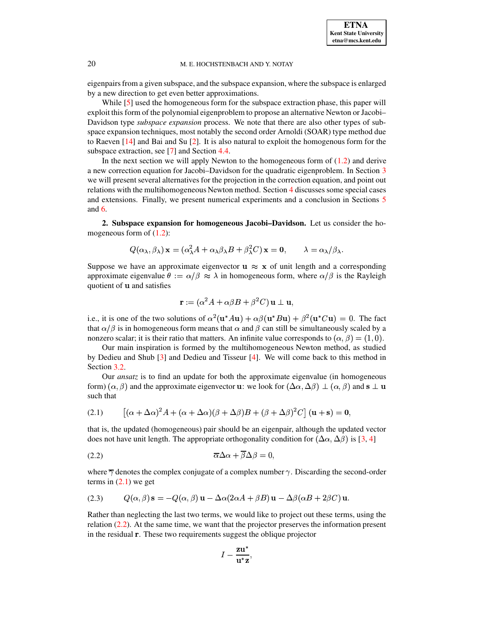

eigenpairsfrom a given subspace, and the subspace expansion, where the subspace is enlarged by a new direction to get even better approximations.

While [\[5\]](#page-10-2) used the homogeneous form for the subspace extraction phase, this paper will exploit this form of the polynomial eigenproblem to propose an alternative Newton or Jacobi– Davidson type *subspace expansion* process. We note that there are also other types of subspace expansion techniques, most notably the second order Arnoldi (SOAR) type method due to Raeven  $[14]$  and Bai and Su  $[2]$ . It is also natural to exploit the homogenous form for the subspace extraction, see [\[7\]](#page-11-4) and Section [4.4.](#page-7-0)

In the next section we will apply Newton to the homogeneous form of  $(1.2)$  and derive a new correction equation for Jacobi–Davidson for the quadratic eigenproblem. In Section [3](#page-2-0) we will present several alternatives for the projection in the correction equation, and point out relations with the multihomogeneous Newton method. Section [4](#page-5-1) discusses some special cases and extensions. Finally, we present numerical experiments and a conclusion in Sections [5](#page-8-0) and [6.](#page-10-4)

**2. Subspace expansion for homogeneous Jacobi–Davidson.** Let us consider the homogeneous form of  $(1.2)$ :

$$
Q(\alpha_{\lambda}, \beta_{\lambda}) \mathbf{x} = (\alpha_{\lambda}^{2} A + \alpha_{\lambda} \beta_{\lambda} B + \beta_{\lambda}^{2} C) \mathbf{x} = \mathbf{0}, \qquad \lambda = \alpha_{\lambda} / \beta_{\lambda}.
$$

Suppose we have an approximate eigenvector  $\mathbf{u} \approx \mathbf{x}$  of unit length and a corresponding approximate eigenvalue  $\theta := \alpha/\beta \approx \lambda$  in homogeneous form, where  $\alpha/\beta$  is the Rayleigh quotient of **u** and satisfies

$$
\mathbf{r} := (\alpha^2 A + \alpha \beta B + \beta^2 C) \mathbf{u} \perp \mathbf{u},
$$

i.e., it is one of the two solutions of  $\alpha^2(\mathbf{u}^*\mathcal{A}\mathbf{u}) + \alpha\beta(\mathbf{u}^*\mathcal{B}\mathbf{u}) + \beta^2(\mathbf{u}^*\mathcal{C}\mathbf{u}) = 0$ . The fact that  $\alpha/\beta$  is in homogeneous form means that  $\alpha$  and  $\beta$  can still be simultaneously scaled by a nonzero scalar; it is their ratio that matters. An infinite value corresponds to  $(\alpha, \beta) = (1, 0)$ .

Our main inspiration is formed by the multihomogeneous Newton method, as studied by Dedieu and Shub [\[3\]](#page-10-5) and Dedieu and Tisseur [\[4\]](#page-10-1). We will come back to this method in Section [3.2.](#page-3-0)

Our *ansatz* is to find an update for both the approximate eigenvalue (in homogeneous form)  $(\alpha, \beta)$  and the approximate eigenvector **u**: we look for  $(\Delta \alpha, \Delta \beta) \perp (\alpha, \beta)$  and  $\mathbf{s} \perp \mathbf{u}$ such that

<span id="page-1-0"></span>(2.1) 
$$
\left[ (\alpha + \Delta \alpha)^2 A + (\alpha + \Delta \alpha) (\beta + \Delta \beta) B + (\beta + \Delta \beta)^2 C \right] (\mathbf{u} + \mathbf{s}) = \mathbf{0},
$$

that is, the updated (homogeneous) pair should be an eigenpair, although the updated vector does not have unit length. The appropriate orthogonality condition for  $(\Delta \alpha, \Delta \beta)$  is [\[3,](#page-10-5) [4\]](#page-10-1)

<span id="page-1-1"></span>
$$
\overline{\alpha}\Delta\alpha + \overline{\beta}\Delta\beta = 0,
$$

where  $\overline{\gamma}$  denotes the complex conjugate of a complex number  $\gamma$ . Discarding the second-order terms in  $(2.1)$  we get

<span id="page-1-2"></span>(2.3) 
$$
Q(\alpha, \beta) s = -Q(\alpha, \beta) u - \Delta \alpha (2\alpha A + \beta B) u - \Delta \beta (\alpha B + 2\beta C) u.
$$

Rather than neglecting the last two terms, we would like to project out these terms, using the relation [\(2.2\)](#page-1-1). At the same time, we want that the projector preserves the information present in the residual **r**. These two requirements suggest the oblique projector

$$
I-\frac{\mathbf{z}\mathbf{u}^*}{\mathbf{u}^*\mathbf{z}},
$$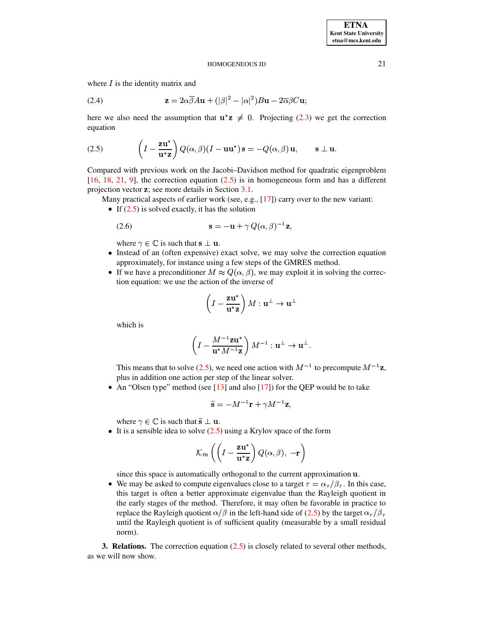where  $I$  is the identity matrix and

<span id="page-2-2"></span>(2.4) 
$$
\mathbf{z} = 2\alpha \overline{\beta} A \mathbf{u} + (|\beta|^2 - |\alpha|^2) B \mathbf{u} - 2\overline{\alpha}\beta C \mathbf{u};
$$

here we also need the assumption that  $u^*z \neq 0$ . Projecting [\(2.3\)](#page-1-2) we get the correction equation

<span id="page-2-1"></span>(2.5) 
$$
\left(I - \frac{\mathbf{z}\mathbf{u}^*}{\mathbf{u}^*\mathbf{z}}\right)Q(\alpha, \beta)(I - \mathbf{u}\mathbf{u}^*)\,\mathbf{s} = -Q(\alpha, \beta)\,\mathbf{u}, \qquad \mathbf{s} \perp \mathbf{u}.
$$

Compared with previous work on the Jacobi–Davidson method for quadratic eigenproblem [\[16,](#page-11-2) [18,](#page-11-5) [21,](#page-11-6) [9\]](#page-11-7), the correction equation [\(2.5\)](#page-2-1) is in homogeneous form and has a different projection vector z; see more details in Section [3.1.](#page-3-1)

Many practical aspects of earlier work (see, e.g., [\[17\]](#page-11-8)) carry over to the new variant:

If  $(2.5)$  is solved exactly, it has the solution

<span id="page-2-3"></span>
$$
\mathbf{s} = -\mathbf{u} + \gamma Q(\alpha, \beta)^{-1} \mathbf{z},
$$

where  $\gamma \in \mathbb{C}$  is such that  $\mathbf{s} \perp \mathbf{u}$ .

- Instead of an (often expensive) exact solve, we may solve the correction equation approximately, for instance using a few steps of the GMRES method.
- If we have a preconditioner  $M \approx Q(\alpha, \beta)$ , we may exploit it in solving the correction equation: we use the action of the inverse of

$$
\left(I-\frac{\mathbf{z}\mathbf{u}^*}{\mathbf{u}^*\mathbf{z}}\right)M:\mathbf{u}^\perp\to\mathbf{u}^\perp
$$

which is

$$
\left(I - \frac{M^{-1} \mathbf{z} \mathbf{u}^*}{\mathbf{u}^* M^{-1} \mathbf{z}}\right) M^{-1} : \mathbf{u}^\perp \to \mathbf{u}^\perp.
$$

This means that to solve [\(2.5\)](#page-2-1), we need one action with  $M^{-1}$  to precompute  $M^{-1}z$ , plus in addition one action per step of the linear solver.

• An "Olsen type" method (see  $[13]$  and also  $[17]$ ) for the QEP would be to take

$$
\widetilde{\mathbf{s}} = -M^{-1}\mathbf{r} + \gamma M^{-1}\mathbf{z},
$$

where  $\gamma \in \mathbb{C}$  is such that  $\tilde{\mathbf{s}} \perp \mathbf{u}$ .

It is a sensible idea to solve  $(2.5)$  using a Krylov space of the form

$$
\mathcal{K}_m\left(\left(I-\frac{\mathbf{z}\mathbf{u}^*}{\mathbf{u}^*\mathbf{z}}\right)Q(\alpha,\beta),-\mathbf{r}\right)
$$

since this space is automatically orthogonal to the current approximation  $\bf{u}$ .

• We may be asked to compute eigenvalues close to a target  $\tau = \alpha_{\tau}/\beta_{\tau}$ . In this case, this target is often a better approximate eigenvalue than the Rayleigh quotient in the early stages of the method. Therefore, it may often be favorable in practice to replace the Rayleigh quotient  $\alpha/\beta$  in the left-hand side of [\(2.5\)](#page-2-1) by the target  $\alpha_{\tau}/\beta_{\tau}$ until the Rayleigh quotient is of sufficient quality (measurable by a small residual norm).

<span id="page-2-0"></span>**3. Relations.** The correction equation [\(2.5\)](#page-2-1) is closely related to several other methods, as we will now show.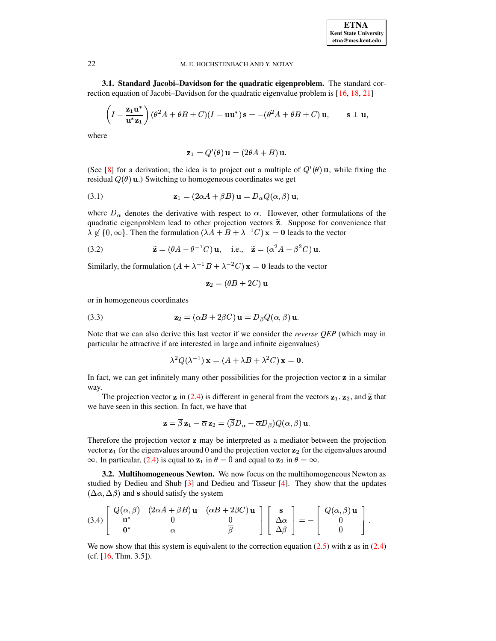<span id="page-3-1"></span>**3.1. Standard Jacobi–Davidson for the quadratic eigenproblem.** The standard cor-rection equation of Jacobi–Davidson for the quadratic eigenvalue problem is [\[16,](#page-11-2) [18,](#page-11-5) [21\]](#page-11-6)

$$
\left(I - \frac{\mathbf{z}_1 \mathbf{u}^*}{\mathbf{u}^* \mathbf{z}_1}\right) (\theta^2 A + \theta B + C)(I - \mathbf{u} \mathbf{u}^*) \mathbf{s} = -(\theta^2 A + \theta B + C) \mathbf{u}, \qquad \mathbf{s} \perp \mathbf{u},
$$

where

$$
\mathbf{z}_1 = Q'(\theta) \mathbf{u} = (2\theta A + B) \mathbf{u}.
$$

(See [\[8\]](#page-11-10) for a derivation; the idea is to project out a multiple of  $Q'(\theta)$  u, while fixing the residual  $Q(\theta)$  **u**.) Switching to homogeneous coordinates we get

<span id="page-3-3"></span>(3.1) 
$$
\mathbf{z}_1 = (2\alpha A + \beta B) \mathbf{u} = D_\alpha Q(\alpha, \beta) \mathbf{u},
$$

where  $D_{\alpha}$  denotes the derivative with respect to  $\alpha$ . However, other formulations of the quadratic eigenproblem lead to other projection vectors  $\tilde{z}$ . Suppose for convenience that  $\lambda \notin \{0, \infty\}$ . Then the formulation  $(\lambda A + B + \lambda^{-1} C) \mathbf{x} = \mathbf{0}$  leads to the vector

<span id="page-3-5"></span>(3.2) 
$$
\widetilde{\mathbf{z}} = (\theta A - \theta^{-1} C) \mathbf{u}, \text{ i.e., } \widetilde{\mathbf{z}} = (\alpha^2 A - \beta^2 C) \mathbf{u}.
$$

Similarly, the formulation  $(A + \lambda^{-1}B + \lambda^{-2}C)$   $\mathbf{x} = \mathbf{0}$  leads to the vector

$$
\mathbf{z}_2 = (\theta B + 2C)\,\mathbf{u}
$$

or in homogeneous coordinates

<span id="page-3-4"></span>(3.3) 
$$
\mathbf{z}_2 = (\alpha B + 2\beta C) \mathbf{u} = D_\beta Q(\alpha, \beta) \mathbf{u}.
$$

Note that we can also derive this last vector if we consider the *reverse QEP* (which may in particular be attractive if are interested in large and infinite eigenvalues)

$$
\lambda^2 Q(\lambda^{-1}) \mathbf{x} = (A + \lambda B + \lambda^2 C) \mathbf{x} = \mathbf{0}.
$$

In fact, we can get infinitely many other possibilities for the projection vector  $z$  in a similar way.

The projection vector **z** in [\(2.4\)](#page-2-2) is different in general from the vectors  $z_1$ ,  $z_2$ , and  $\tilde{z}$  that we have seen in this section. In fact, we have that

$$
\mathbf{z} = \overline{\beta}\, \mathbf{z}_1 - \overline{\alpha}\, \mathbf{z}_2 = (\overline{\beta} D_\alpha - \overline{\alpha} D_\beta) Q(\alpha, \beta) \, \mathbf{u}.
$$

Therefore the projection vector z may be interpreted as a mediator between the projection vector  $z_1$  for the eigenvalues around 0 and the projection vector  $z_2$  for the eigenvalues around  $\infty$ . In particular, [\(2.4\)](#page-2-2) is equal to  $z_1$  in  $\theta = 0$  and equal to  $z_2$  in  $\theta = \infty$ .

<span id="page-3-0"></span>**3.2. Multihomogeneous Newton.** We now focus on the multihomogeneous Newton as studied by Dedieu and Shub [\[3\]](#page-10-5) and Dedieu and Tisseur [\[4\]](#page-10-1). They show that the updates  $(\Delta \alpha, \Delta \beta)$  and s should satisfy the system

<span id="page-3-2"></span>
$$
(3.4)\left[\begin{array}{ccc}Q(\alpha,\beta)&(2\alpha A+\beta B)\mathbf{u}&(\alpha B+2\beta C)\mathbf{u}\\ \mathbf{u}^*&0\\\mathbf{0}^*&\overline{\alpha}\end{array}\right]\left[\begin{array}{c}\mathbf{s}\\ \Delta\alpha\\\Delta\beta\end{array}\right]=-\left[\begin{array}{c}Q(\alpha,\beta)\mathbf{u}\\0\\0\end{array}\right].
$$

We now show that this system is equivalent to the correction equation  $(2.5)$  with z as in  $(2.4)$ (cf. [\[16,](#page-11-2) Thm. 3.5]).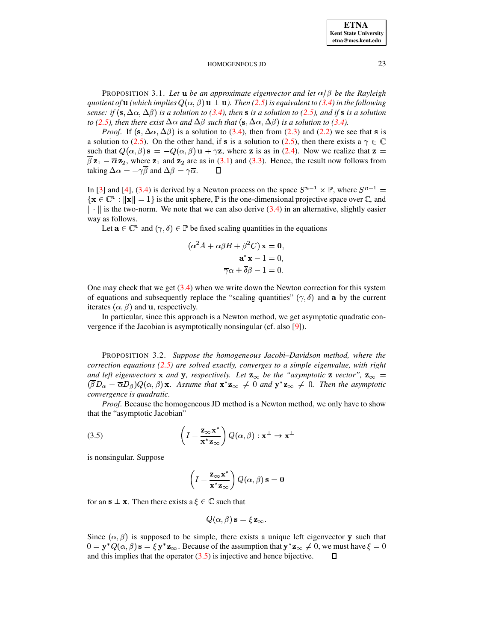PROPOSITION 3.1. Let **u** be an approximate eigenvector and let  $\alpha/\beta$  be the Rayleigh *quotient of* **u** (which implies  $Q(\alpha, \beta)$  **u**  $\perp$  **u**). Then [\(2.5\)](#page-2-1) is equivalent to [\(3.4\)](#page-3-2) in the following sense: if  $(s, \Delta \alpha, \Delta \beta)$  is a solution to [\(3.4\)](#page-3-2), then s is a solution to [\(2.5\)](#page-2-1), and if s is a solution *to* [\(2.5\)](#page-2-1), then there exist  $\Delta \alpha$  and  $\Delta \beta$  such that  $(\mathbf{s}, \Delta \alpha, \Delta \beta)$  is a solution to [\(3.4\)](#page-3-2).

*Proof.* If  $(s, \Delta \alpha, \Delta \beta)$  is a solution to [\(3.4\)](#page-3-2), then from [\(2.3\)](#page-1-2) and [\(2.2\)](#page-1-1) we see that **s** is a solution to [\(2.5\)](#page-2-1). On the other hand, if s is a solution to (2.5), then there exists a  $\gamma \in \mathbb{C}$ such that  $Q(\alpha, \beta)$   $\mathbf{s} = -Q(\alpha, \beta) \mathbf{u} + \gamma \mathbf{z}$ , where z is as in [\(2.4\)](#page-2-2). Now we realize that  $\mathbf{z} =$  $\beta z_1 - \overline{\alpha} z_2$ , where  $z_1$  and  $z_2$  are as in [\(3.1\)](#page-3-3) and [\(3.3\)](#page-3-4). Hence, the result now follows from taking  $\Delta \alpha = -\gamma \beta$  and  $\Delta \beta = \gamma \overline{\alpha}$ .  $\qquad \Box$ 

In [\[3\]](#page-10-5) and [\[4\]](#page-10-1), [\(3.4\)](#page-3-2) is derived by a Newton process on the space  $S^{n-1} \times \mathbb{P}$ , where  $S^{n-1} =$  $\{ \mathbf x \in \mathbb C^n : ||\mathbf x|| = 1 \}$  is the unit sphere,  $\mathbb P$  is the one-dimensional projective space over  $\mathbb C$ , and  $\|\cdot\|$  is the two-norm. We note that we can also derive [\(3.4\)](#page-3-2) in an alternative, slightly easier way as follows.

Let  $\mathbf{a} \in \mathbb{C}^n$  and  $(\gamma, \delta) \in \mathbb{P}$  be fixed scaling quantities in the equations

$$
(\alpha^{2} A + \alpha \beta B + \beta^{2} C) \mathbf{x} = \mathbf{0},
$$

$$
\mathbf{a}^{*} \mathbf{x} - 1 = 0,
$$

$$
\overline{\gamma} \alpha + \overline{\delta} \beta - 1 = 0.
$$

One may check that we get  $(3.4)$  when we write down the Newton correction for this system of equations and subsequently replace the "scaling quantities"  $(\gamma, \delta)$  and a by the current iterates  $(\alpha, \beta)$  and **u**, respectively.

In particular, since this approach is a Newton method, we get asymptotic quadratic convergence if the Jacobian is asymptotically nonsingular (cf. also [\[9\]](#page-11-7)).

PROPOSITION 3.2. *Suppose the homogeneous Jacobi–Davidson method, where the correction equations [\(2.5\)](#page-2-1) are solved exactly, converges to a simple eigenvalue, with right and* left eigenvectors **x** and **y**, respectively. Let  $z_{\infty}$  be the "asymptotic **z** vector",  $z_{\infty}$  =  $(\beta D_\alpha - \overline{\alpha}D_\beta)Q(\alpha, \beta)$  **x**. Assume that  $\mathbf{x}^*\mathbf{z}_\infty \neq 0$  and  $\mathbf{y}^*\mathbf{z}_\infty \neq 0$ . Then the asymptotic *convergence is quadratic.*

*Proof*. Because the homogeneous JD method is a Newton method, we only have to show that the "asymptotic Jacobian"

<span id="page-4-0"></span>(3.5) 
$$
\left(I - \frac{\mathbf{z}_{\infty} \mathbf{x}^*}{\mathbf{x}^* \mathbf{z}_{\infty}}\right) Q(\alpha, \beta) : \mathbf{x}^{\perp} \to \mathbf{x}^{\perp}
$$

is nonsingular. Suppose

$$
\left(I - \frac{\mathbf{z}_{\infty} \mathbf{x}^*}{\mathbf{x}^* \mathbf{z}_{\infty}}\right) Q(\alpha, \beta) \,\mathbf{s} = \mathbf{0}
$$

for an  $\mathbf{s} \perp \mathbf{x}$ . Then there exists a  $\xi \in \mathbb{C}$  such that

$$
Q(\alpha, \beta) \mathbf{s} = \xi \, \mathbf{z}_{\infty}.
$$

Since  $(\alpha, \beta)$  is supposed to be simple, there exists a unique left eigenvector **y** such that  $0 = \mathbf{y}^* Q(\alpha, \beta) \, \mathbf{s} = \xi \, \mathbf{y}^* \mathbf{z}_{\infty}$ . Because of the assumption that  $\mathbf{y}^* \mathbf{z}_{\infty} \neq 0$ , we must have  $\xi = 0$ and this implies that the operator  $(3.5)$  is injective and hence bijective. П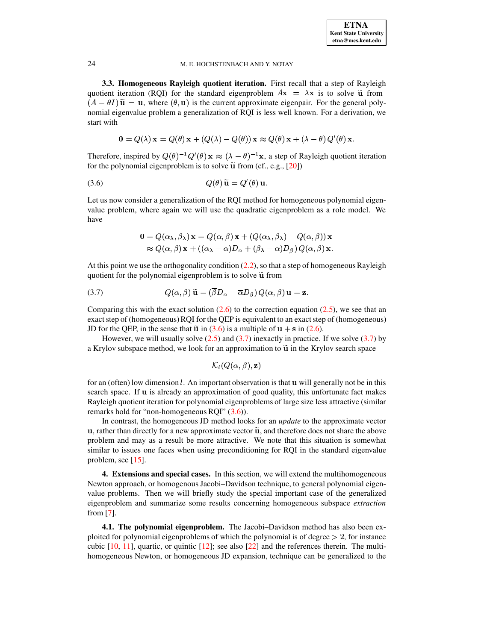**3.3. Homogeneous Rayleigh quotient iteration.** First recall that a step of Rayleigh quotient iteration (RQI) for the standard eigenproblem  $A\mathbf{x} = \lambda \mathbf{x}$  is to solve  $\tilde{\mathbf{u}}$  from  $(A - \theta I)$   $\tilde{u} = u$ , where  $(\theta, u)$  is the current approximate eigenpair. For the general polynomial eigenvalue problem a generalization of RQI is less well known. For a derivation, we start with

<span id="page-5-2"></span>
$$
\mathbf{0} = Q(\lambda) \mathbf{x} = Q(\theta) \mathbf{x} + (Q(\lambda) - Q(\theta)) \mathbf{x} \approx Q(\theta) \mathbf{x} + (\lambda - \theta) Q'(\theta) \mathbf{x}.
$$

Therefore, inspired by  $Q(\theta)^{-1}Q'(\theta) \mathbf{x} \approx (\lambda - \theta)^{-1}\mathbf{x}$ , a step of Rayleigh quotient iteration for the polynomial eigenproblem is to solve  $\tilde{u}$  from (cf., e.g., [\[20\]](#page-11-0))

$$
(3.6) \tQ(\theta) \widetilde{\mathbf{u}} = Q'(\theta) \mathbf{u}.
$$

Let us now consider a generalization of the RQI method for homogeneous polynomial eigenvalue problem, where again we will use the quadratic eigenproblem as a role model. We have

$$
\mathbf{0} = Q(\alpha_{\lambda}, \beta_{\lambda}) \mathbf{x} = Q(\alpha, \beta) \mathbf{x} + (Q(\alpha_{\lambda}, \beta_{\lambda}) - Q(\alpha, \beta)) \mathbf{x}
$$
  
\n
$$
\approx Q(\alpha, \beta) \mathbf{x} + ((\alpha_{\lambda} - \alpha)D_{\alpha} + (\beta_{\lambda} - \alpha)D_{\beta}) Q(\alpha, \beta) \mathbf{x}.
$$

At this point we use the orthogonality condition  $(2.2)$ , so that a step of homogeneous Rayleigh quotient for the polynomial eigenproblem is to solve  $\tilde{u}$  from

<span id="page-5-3"></span>(3.7) 
$$
Q(\alpha, \beta) \widetilde{\mathbf{u}} = (\overline{\beta}D_{\alpha} - \overline{\alpha}D_{\beta}) Q(\alpha, \beta) \mathbf{u} = \mathbf{z}.
$$

Comparing this with the exact solution  $(2.6)$  to the correction equation  $(2.5)$ , we see that an exact step of (homogeneous) RQI for the QEP is equivalent to an exact step of (homogeneous) JD for the QEP, in the sense that  $\tilde{u}$  in [\(3.6\)](#page-5-2) is a multiple of  $u + s$  in [\(2.6\)](#page-2-3).

However, we will usually solve  $(2.5)$  and  $(3.7)$  inexactly in practice. If we solve  $(3.7)$  by a Krylov subspace method, we look for an approximation to  $\tilde{u}$  in the Krylov search space

$$
\mathcal{K}_l(Q(\alpha,\beta),\mathbf{z})
$$

for an (often) low dimension  $l$ . An important observation is that  $\bf{u}$  will generally not be in this search space. If  $\bf{u}$  is already an approximation of good quality, this unfortunate fact makes Rayleigh quotient iteration for polynomial eigenproblems of large size less attractive (similar remarks hold for "non-homogeneous RQI" [\(3.6\)](#page-5-2)).

In contrast, the homogeneous JD method looks for an *update* to the approximate vector  $u$ , rather than directly for a new approximate vector  $\tilde{u}$ , and therefore does not share the above problem and may as a result be more attractive. We note that this situation is somewhat similar to issues one faces when using preconditioning for RQI in the standard eigenvalue problem, see [\[15\]](#page-11-11).

<span id="page-5-1"></span>**4. Extensions and special cases.** In this section, we will extend the multihomogeneous Newton approach, or homogenous Jacobi–Davidson technique, to general polynomial eigenvalue problems. Then we will briefly study the special important case of the generalized eigenproblem and summarize some results concerning homogeneous subspace *extraction* from [\[7\]](#page-11-4).

<span id="page-5-0"></span>**4.1. The polynomial eigenproblem.** The Jacobi–Davidson method has also been exploited for polynomial eigenproblems of which the polynomial is of degree  $> 2$ , for instance cubic  $[10, 11]$  $[10, 11]$  $[10, 11]$ , quartic, or quintic  $[12]$ ; see also  $[22]$  and the references therein. The multihomogeneous Newton, or homogeneous JD expansion, technique can be generalized to the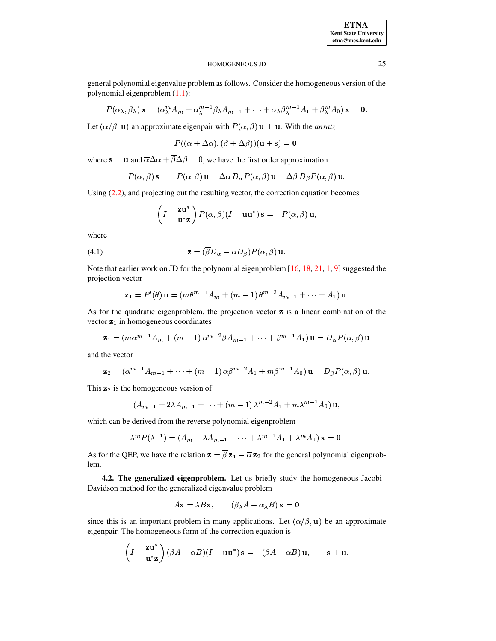### **ETNA Kent State University etna@mcs.kent.edu**

# HOMOGENEOUS JD 25

general polynomial eigenvalue problem as follows. Consider the homogeneous version of the polynomial eigenproblem [\(1.1\)](#page-0-0):

$$
P(\alpha_{\lambda},\beta_{\lambda})\mathbf{x}=(\alpha_{\lambda}^{m}A_{m}+\alpha_{\lambda}^{m-1}\beta_{\lambda}A_{m-1}+\cdots+\alpha_{\lambda}\beta_{\lambda}^{m-1}A_{1}+\beta_{\lambda}^{m}A_{0})\mathbf{x}=\mathbf{0}.
$$

Let  $(\alpha/\beta, \mathbf{u})$  an approximate eigenpair with  $P(\alpha, \beta)$   $\mathbf{u} \perp \mathbf{u}$ . With the *ansatz* 

$$
P((\alpha+\Delta\alpha),(\beta+\Delta\beta))({\bf u}+{\bf s})={\bf 0},
$$

where  $\mathbf{s} \perp \mathbf{u}$  and  $\overline{\alpha} \Delta \alpha + \beta \Delta \beta = 0$ , we have the first order approximation

$$
P(\alpha, \beta) \mathbf{s} = -P(\alpha, \beta) \mathbf{u} - \Delta \alpha D_{\alpha} P(\alpha, \beta) \mathbf{u} - \Delta \beta D_{\beta} P(\alpha, \beta) \mathbf{u}.
$$

Using  $(2.2)$ , and projecting out the resulting vector, the correction equation becomes

$$
\left(I - \frac{\mathbf{z}\mathbf{u}^*}{\mathbf{u}^*\mathbf{z}}\right)P(\alpha, \beta)(I - \mathbf{u}\mathbf{u}^*)\,\mathbf{s} = -P(\alpha, \beta)\,\mathbf{u},
$$

where

<span id="page-6-1"></span>(4.1) 
$$
\mathbf{z} = (\overline{\beta}D_{\alpha} - \overline{\alpha}D_{\beta})P(\alpha, \beta) \mathbf{u}.
$$

Note that earlier work on JD for the polynomial eigenproblem  $[16, 18, 21, 1, 9]$  $[16, 18, 21, 1, 9]$  $[16, 18, 21, 1, 9]$  $[16, 18, 21, 1, 9]$  $[16, 18, 21, 1, 9]$  $[16, 18, 21, 1, 9]$  $[16, 18, 21, 1, 9]$  $[16, 18, 21, 1, 9]$  $[16, 18, 21, 1, 9]$  suggested the projection vector

$$
\mathbf{z}_1 = P'(\theta) \mathbf{u} = (m\theta^{m-1}A_m + (m-1)\theta^{m-2}A_{m-1} + \cdots + A_1)\mathbf{u}.
$$

As for the quadratic eigenproblem, the projection vector  $z$  is a linear combination of the vector  $z_1$  in homogeneous coordinates

$$
\mathbf{z}_1 = (m\alpha^{m-1}A_m + (m-1)\alpha^{m-2}\beta A_{m-1} + \cdots + \beta^{m-1}A_1)\mathbf{u} = D_{\alpha}P(\alpha,\beta)\mathbf{u}
$$

and the vector

$$
\mathbf{z}_2 = (\alpha^{m-1}A_{m-1} + \cdots + (m-1)\alpha\beta^{m-2}A_1 + m\beta^{m-1}A_0)\mathbf{u} = D_{\beta}P(\alpha,\beta)\mathbf{u}.
$$

This  $z_2$  is the homogeneous version of

$$
(A_{m-1} + 2\lambda A_{m-1} + \dots + (m-1)\lambda^{m-2}A_1 + m\lambda^{m-1}A_0)\mathbf{u},
$$

which can be derived from the reverse polynomial eigenproblem

$$
\lambda^m P(\lambda^{-1}) = (A_m + \lambda A_{m-1} + \dots + \lambda^{m-1} A_1 + \lambda^m A_0) \mathbf{x} = \mathbf{0}.
$$

As for the QEP, we have the relation  $z = \beta z_1 - \overline{\alpha} z_2$  for the general polynomial eigenproblem.

<span id="page-6-0"></span>**4.2. The generalized eigenproblem.** Let us briefly study the homogeneous Jacobi– Davidson method for the generalized eigenvalue problem

$$
A\mathbf{x} = \lambda B\mathbf{x}, \qquad (\beta_{\lambda}A - \alpha_{\lambda}B)\mathbf{x} = \mathbf{0}
$$

since this is an important problem in many applications. Let  $(\alpha/\beta, \mathbf{u})$  be an approximate eigenpair. The homogeneous form of the correction equation is

$$
\left(I - \frac{\mathbf{z}\mathbf{u}^*}{\mathbf{u}^*\mathbf{z}}\right)(\beta A - \alpha B)(I - \mathbf{u}\mathbf{u}^*)\mathbf{s} = -(\beta A - \alpha B)\mathbf{u}, \qquad \mathbf{s} \perp \mathbf{u},
$$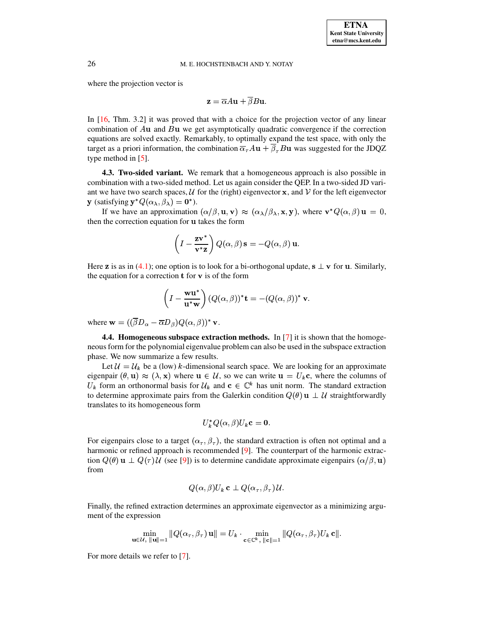where the projection vector is

$$
\mathbf{z} = \overline{\alpha} A \mathbf{u} + \overline{\beta} B \mathbf{u}.
$$

In [\[16,](#page-11-2) Thm. 3.2] it was proved that with a choice for the projection vector of any linear combination of  $Au$  and  $Bu$  we get asymptotically quadratic convergence if the correction equations are solved exactly. Remarkably, to optimally expand the test space, with only the target as a priori information, the combination  $\overline{\alpha}_\tau A\mathbf{u} + \beta_\tau B\mathbf{u}$  was suggested for the JDQZ type method in [\[5\]](#page-10-2).

**4.3. Two-sided variant.** We remark that a homogeneous approach is also possible in combination with a two-sided method. Let us again consider the QEP. In a two-sided JD variant we have two search spaces, U for the (right) eigenvector  $\bf{x}$ , and V for the left eigenvector **y** (satisfying  $y^*Q(\alpha_{\lambda}, \beta_{\lambda}) = 0^*$ ).

If we have an approximation  $(\alpha/\beta, \mathbf{u}, \mathbf{v}) \approx (\alpha_{\lambda}/\beta_{\lambda}, \mathbf{x}, \mathbf{y})$ , where  $\mathbf{v}^* Q(\alpha, \beta) \mathbf{u} = 0$ , then the correction equation for u takes the form

$$
\left(I - \frac{\mathbf{z} \mathbf{v}^*}{\mathbf{v}^* \mathbf{z}}\right) Q(\alpha, \beta) \mathbf{s} = -Q(\alpha, \beta) \mathbf{u}.
$$

Here **z** is as in [\(4.1\)](#page-6-1); one option is to look for a bi-orthogonal update,  $s \perp v$  for **u**. Similarly, the equation for a correction  $t$  for  $v$  is of the form

$$
\left(I - \frac{\mathbf{w}\mathbf{u}^*}{\mathbf{u}^*\mathbf{w}}\right) (Q(\alpha, \beta))^* \mathbf{t} = -(Q(\alpha, \beta))^* \mathbf{v}.
$$

<span id="page-7-0"></span>where  $\mathbf{w} = ((\beta D_{\alpha} - \overline{\alpha}D_{\beta})Q(\alpha, \beta))^*$  v.

**4.4. Homogeneous subspace extraction methods.** In [\[7\]](#page-11-4) it is shown that the homogeneous form for the polynomial eigenvalue problem can also be used in the subspace extraction phase. We now summarize a few results.

Let  $\mathcal{U} = \mathcal{U}_k$  be a (low) k-dimensional search space. We are looking for an approximate eigenpair  $(\theta, \mathbf{u}) \approx (\lambda, \mathbf{x})$  where  $\mathbf{u} \in \mathcal{U}$ , so we can write  $\mathbf{u} = U_k \mathbf{c}$ , where the columns of  $U_k$  form an orthonormal basis for  $\mathcal{U}_k$  and  $\mathbf{c} \in \mathbb{C}^k$  has unit norm. The standard extraction to determine approximate pairs from the Galerkin condition  $Q(\theta)$  **u**  $\perp$  U straightforwardly translates to its homogeneous form

$$
U_k^* Q(\alpha, \beta) U_k \mathbf{c} = \mathbf{0}.
$$

For eigenpairs close to a target  $(\alpha_{\tau}, \beta_{\tau})$ , the standard extraction is often not optimal and a harmonic or refined approach is recommended  $[9]$ . The counterpart of the harmonic extraction  $Q(\theta)$  **u**  $\perp Q(\tau)$   $\mathcal{U}$  (see [\[9\]](#page-11-7)) is to determine candidate approximate eigenpairs  $(\alpha/\beta, \mathbf{u})$ from

$$
Q(\alpha, \beta)U_k
$$
**c**  $\perp$   $Q(\alpha_{\tau}, \beta_{\tau})U$ .

Finally, the refined extraction determines an approximate eigenvector as a minimizing argument of the expression

$$
\min_{\mathbf{u}\in\mathcal{U},\ \|\mathbf{u}\|=1}\|Q(\alpha_{\tau},\beta_{\tau})\mathbf{u}\|=U_k\cdot\min_{\mathbf{c}\in\mathbb{C}^k,\ \|\mathbf{c}\|=1}\|Q(\alpha_{\tau},\beta_{\tau})U_k\mathbf{c}\|.
$$

For more details we refer to [\[7\]](#page-11-4).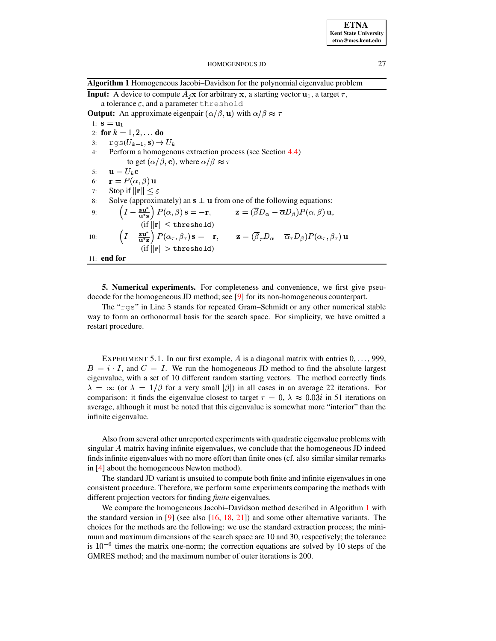<span id="page-8-1"></span>

|  |  |  |  | Algorithm 1 Homogeneous Jacobi-Davidson for the polynomial eigenvalue problem |
|--|--|--|--|-------------------------------------------------------------------------------|
|  |  |  |  |                                                                               |

**Input:** A device to compute  $A_j$ **x** for arbitrary **x**, a starting vector **u**<sub>1</sub>, a target  $\tau$ , a tolerance  $\varepsilon$ , and a parameter threshold **Output:** An approximate eigenpair  $(\alpha/\beta, \mathbf{u})$  with  $\alpha/\beta \approx \tau$ 1:  $\mathbf{s} = \mathbf{u}_1$ 2: **for**  $k = 1, 2, \ldots$  **do** 3:  $\operatorname{rgs}(U_{k-1}, \mathbf{s}) \to U_k$ 4: Perform a homogenous extraction process (see Section [4.4\)](#page-7-0) to get  $(\alpha/\beta, \mathbf{c})$ , where  $\alpha/\beta \approx \tau$ 5:  $\mathbf{u} = U_k \mathbf{c}$ 6:  $\mathbf{r} = P(\alpha, \beta) \mathbf{u}$ 7: Stop if  $\|\mathbf{r}\| \leq \varepsilon$  $\sum_{n=0}^{\infty}$  Solve (approximately) an  $\mathbf{s} \perp \mathbf{u}$  from one of the following equations: 9:  $\left(I - \frac{\mathbf{z} \mathbf{u}^*}{\mathbf{u}^* \mathbf{z}}\right) P(\alpha, \beta) \mathbf{s} = -\mathbf{r}, \qquad \mathbf{z} = (\beta D_\alpha - \overline{\alpha}D_\beta) P(\alpha, \beta) \mathbf{u},$ (if  $\|\mathbf{r}\| \leq \mathtt{threshold}$ ) 10:  $\left(I - \frac{\mathbf{z} \cdot \mathbf{u}^*}{\mathbf{u}^* \cdot \mathbf{a}}\right) P(\alpha_\tau, \beta_\tau) \mathbf{s} = -\mathbf{r}, \qquad \mathbf{z} = (\beta_\tau D_\alpha - \overline{\alpha}_\tau D_\beta) P(\alpha_\tau, \beta_\tau) \mathbf{u}$  $(\text{if } \|\mathbf{r}\| > \text{threshold})$ 11: **end for**

<span id="page-8-0"></span>**5. Numerical experiments.** For completeness and convenience, we first give pseudocode for the homogeneous JD method; see [\[9\]](#page-11-7) for its non-homogeneous counterpart.

The "rgs" in Line 3 stands for repeated Gram–Schmidt or any other numerical stable way to form an orthonormal basis for the search space. For simplicity, we have omitted a restart procedure.

EXPERIMENT 5.1. In our first example, A is a diagonal matrix with entries  $0, \ldots, 999$ ,  $B = i \cdot I$ , and  $C = I$ . We run the homogeneous JD method to find the absolute largest eigenvalue, with a set of 10 different random starting vectors. The method correctly finds  $\lambda = \infty$  (or  $\lambda = 1/\beta$  for a very small  $|\beta|$ ) in all cases in an average 22 iterations. For comparison: it finds the eigenvalue closest to target  $\tau = 0, \lambda \approx 0.03i$  in 51 iterations on average, although it must be noted that this eigenvalue is somewhat more "interior" than the infinite eigenvalue.

Also from several other unreported experiments with quadratic eigenvalue problems with singular  $A$  matrix having infinite eigenvalues, we conclude that the homogeneous JD indeed finds infinite eigenvalues with no more effort than finite ones (cf. also similar similar remarks in [\[4\]](#page-10-1) about the homogeneous Newton method).

The standard JD variant is unsuited to compute both finite and infinite eigenvalues in one consistent procedure. Therefore, we perform some experiments comparing the methods with different projection vectors for finding *finite* eigenvalues.

We compare the homogeneous Jacobi–Davidson method described in Algorithm [1](#page-8-1) with the standard version in [\[9\]](#page-11-7) (see also [\[16,](#page-11-2) [18,](#page-11-5) [21\]](#page-11-6)) and some other alternative variants. The choices for the methods are the following: we use the standard extraction process; the minimum and maximum dimensions of the search space are 10 and 30, respectively; the tolerance is  $10^{-6}$  times the matrix one-norm; the correction equations are solved by 10 steps of the GMRES method; and the maximum number of outer iterations is 200.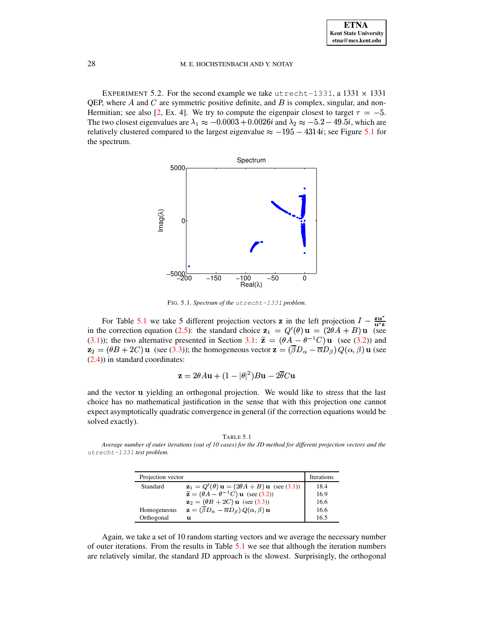<span id="page-9-2"></span>EXPERIMENT 5.2. For the second example we take utrecht-1331, a 1331  $\times$  1331 QEP, where  $A$  and  $C$  are symmetric positive definite, and  $B$  is complex, singular, and non-Hermitian; see also [\[2,](#page-10-3) Ex. 4]. We try to compute the eigenpair closest to target  $\tau = -5$ . The two closest eigenvalues are  $\lambda_1 \approx -0.0003 + 0.0026i$  and  $\lambda_2 \approx -5.2 - 49.5i$ , which are relatively clustered compared to the largest eigenvalue  $\approx -195 - 4314i$ ; see Figure [5.1](#page-9-0) for the spectrum.



<span id="page-9-0"></span>FIG. 5.1. Spectrum of the utrecht-1331 problem.

For Table [5.1](#page-9-1) we take 5 different projection vectors **z** in the left projection  $I - \frac{\mathbf{z} \mathbf{u}^*}{\mathbf{u}^* \mathbf{z}}$ in the correction equation [\(2.5\)](#page-2-1): the standard choice  $z_1 = Q'(\theta) \mathbf{u} = (2\theta A + B) \mathbf{u}$  (see [\(3.1\)](#page-3-3)); the two alternative presented in Section [3.1:](#page-3-1)  $\tilde{\mathbf{z}} = (\theta A - \theta^{-1} C) \mathbf{u}$  (see [\(3.2\)](#page-3-5)) and  $z_2 = (\theta B + 2C)$  u (see [\(3.3\)](#page-3-4)); the homogeneous vector  $z = (\beta D_\alpha - \overline{\alpha}D_\beta) Q(\alpha, \beta)$  u (see [\(2.4\)](#page-2-2)) in standard coordinates:

$$
\mathbf{z} = 2\theta A\mathbf{u} + (1 - |\theta|^2)B\mathbf{u} - 2\overline{\theta}C\mathbf{u}
$$

and the vector **u** yielding an orthogonal projection. We would like to stress that the last choice has no mathematical justification in the sense that with this projection one cannot expect asymptotically quadratic convergence in general (if the correction equations would be solved exactly).

| . T<br>,<br>n |  |  |
|---------------|--|--|
|---------------|--|--|

<span id="page-9-1"></span>Average number of outer iterations (out of 10 cases) for the JD method for different projection vectors and the utrecht-1331 *test problem.*

| Projection vector | Iterations                                                                                     |      |
|-------------------|------------------------------------------------------------------------------------------------|------|
| Standard          | $z1 = Q'(\theta) u = (2\theta A + B) u (see (3.1))$                                            | 18.4 |
|                   | $\widetilde{\mathbf{z}} = (\theta \mathbf{A} - \theta^{-1} \mathbf{C}) \mathbf{u}$ (see (3.2)) | 16.9 |
|                   | $\mathbf{z}_2 = (\theta B + 2C) \mathbf{u}$ (see (3.3))                                        | 16.6 |
| Homogeneous       | $\mathbf{z} = (\overline{\beta}D_{\alpha} - \overline{\alpha}D_{\beta}) Q(\alpha, \beta)$ u    | 16.6 |
| Orthogonal        | u                                                                                              | 16.5 |

Again, we take a set of 10 random starting vectors and we average the necessary number of outer iterations. From the results in Table [5.1](#page-9-1) we see that although the iteration numbers are relatively similar, the standard JD approach is the slowest. Surprisingly, the orthogonal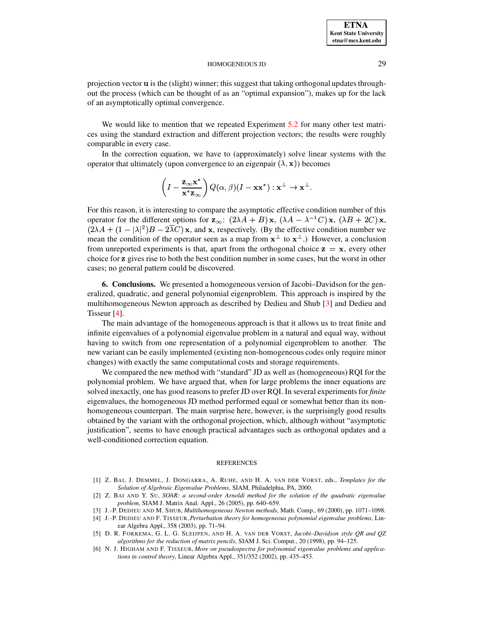projection vector  $\bf{u}$  is the (slight) winner; this suggest that taking orthogonal updates throughout the process (which can be thought of as an "optimal expansion"), makes up for the lack of an asymptotically optimal convergence.

We would like to mention that we repeated Experiment [5.2](#page-9-2) for many other test matrices using the standard extraction and different projection vectors; the results were roughly comparable in every case.

In the correction equation, we have to (approximately) solve linear systems with the operator that ultimately (upon convergence to an eigenpair  $(\lambda, \mathbf{x})$ ) becomes

$$
\left(I - \frac{\mathbf{z}_{\infty} \mathbf{x}^*}{\mathbf{x}^* \mathbf{z}_{\infty}}\right) Q(\alpha, \beta) (I - \mathbf{x} \mathbf{x}^*) : \mathbf{x}^{\perp} \to \mathbf{x}^{\perp}.
$$

For this reason, it is interesting to compare the asymptotic effective condition number of this operator for the different options for  $\mathbf{z}_{\infty}$ :  $(2\lambda A + B) \mathbf{x}$ ,  $(\lambda A - \lambda^{-1} C) \mathbf{x}$ ,  $(\lambda B + 2C) \mathbf{x}$ ,  $(2\lambda A + (1 - |\lambda|^2)B - 2\lambda C)$  x, and x, respectively. (By the effective condition number we mean the condition of the operator seen as a map from  $x^{\perp}$  to  $x^{\perp}$ .) However, a conclusion from unreported experiments is that, apart from the orthogonal choice  $z = x$ , every other choice for z gives rise to both the best condition number in some cases, but the worst in other cases; no general pattern could be discovered.

<span id="page-10-4"></span>**6. Conclusions.** We presented a homogeneous version of Jacobi–Davidson for the generalized, quadratic, and general polynomial eigenproblem. This approach is inspired by the multihomogeneous Newton approach as described by Dedieu and Shub [\[3\]](#page-10-5) and Dedieu and Tisseur [\[4\]](#page-10-1).

The main advantage of the homogeneous approach is that it allows us to treat finite and infinite eigenvalues of a polynomial eigenvalue problem in a natural and equal way, without having to switch from one representation of a polynomial eigenproblem to another. The new variant can be easily implemented (existing non-homogeneous codes only require minor changes) with exactly the same computational costs and storage requirements.

We compared the new method with "standard" JD as well as (homogeneous) RQI for the polynomial problem. We have argued that, when for large problems the inner equations are solved inexactly, one has good reasons to prefer JD over RQI. In several experiments for *finite* eigenvalues, the homogeneous JD method performed equal or somewhat better than its nonhomogeneous counterpart. The main surprise here, however, is the surprisingly good results obtained by the variant with the orthogonal projection, which, although without "asymptotic justification", seems to have enough practical advantages such as orthogonal updates and a well-conditioned correction equation.

#### REFERENCES

- <span id="page-10-6"></span>[1] Z. BAI, J. DEMMEL, J. DONGARRA, A. RUHE, AND H. A. VAN DER VORST, eds., *Templates for the Solution of Algebraic Eigenvalue Problems*, SIAM, Philadelphia, PA, 2000.
- <span id="page-10-3"></span>[2] Z. BAI AND Y. SU, *SOAR: a second-order Arnoldi method for the solution of the quadratic eigenvalue problem*, SIAM J. Matrix Anal. Appl., 26 (2005), pp. 640–659.
- <span id="page-10-5"></span><span id="page-10-1"></span>[3] J.-P. DEDIEU AND M. SHUB, *Multihomogeneous Newton methods*, Math. Comp., 69 (2000), pp. 1071–1098.
- [4] J.-P. DEDIEU AND F. TISSEUR,*Perturbation theory for homogeneous polynomial eigenvalue problems*, Linear Algebra Appl., 358 (2003), pp. 71–94.
- <span id="page-10-2"></span>[5] D. R. FOKKEMA, G. L. G. SLEIJPEN, AND H. A. VAN DER VORST, *Jacobi–Davidson style QR and QZ algorithms for the reduction of matrix pencils*, SIAM J. Sci. Comput., 20 (1998), pp. 94–125.
- <span id="page-10-0"></span>[6] N. J. HIGHAM AND F. TISSEUR, *More on pseudospectra for polynomial eigenvalue problems and applications in control theory*, Linear Algebra Appl., 351/352 (2002), pp. 435–453.